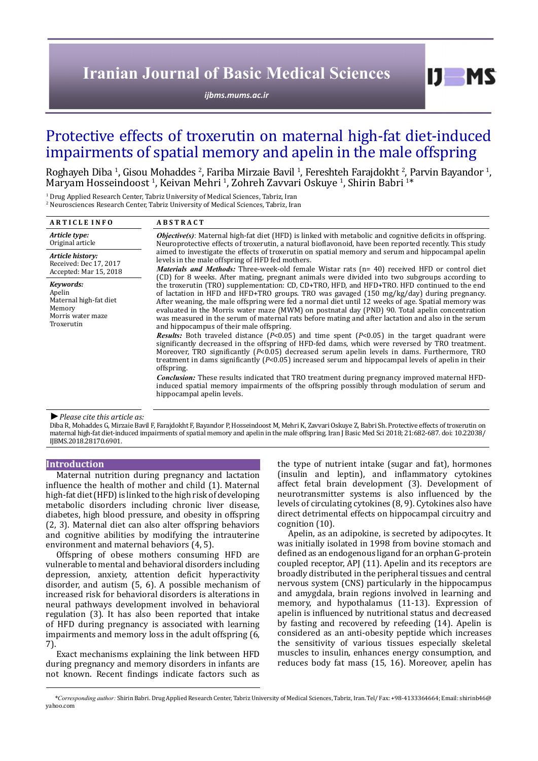# **Iranian Journal of Basic Medical Sciences**

*[ijbms.mums.ac.ir](http://ijbms.mums.ac.ir)*

# Protective effects of troxerutin on maternal high-fat diet-induced impairments of spatial memory and apelin in the male offspring

Roghayeh Diba <sup>1</sup>, Gisou Mohaddes <sup>2</sup>, Fariba Mirzaie Bavil <sup>1</sup>, Fereshteh Farajdokht <sup>2</sup>, Parvin Bayandor <sup>1</sup> , Maryam Hosseindoost 1 , Keivan Mehri <sup>1</sup> , Zohreh Zavvari Oskuye <sup>1</sup> , Shirin Babri <sup>1</sup> \* 1

<sup>1</sup> Drug Applied Research Center, Tabriz University of Medical Sciences, Tabriz, Iran 2 Neurosciences Research Center, Tabriz University of Medical Sciences, Tabriz, Iran

| <b>ARTICLE INFO</b>                                                                        | <b>ABSTRACT</b>                                                                                                                                                                                                                                                                                                                                                                                                                                                                                                                                                                              |
|--------------------------------------------------------------------------------------------|----------------------------------------------------------------------------------------------------------------------------------------------------------------------------------------------------------------------------------------------------------------------------------------------------------------------------------------------------------------------------------------------------------------------------------------------------------------------------------------------------------------------------------------------------------------------------------------------|
| Article type:<br>Original article                                                          | <b><i>Objective(s)</i></b> : Maternal high-fat diet (HFD) is linked with metabolic and cognitive deficits in offspring.<br>Neuroprotective effects of troxerutin, a natural bioflavonoid, have been reported recently. This study<br>aimed to investigate the effects of troxerutin on spatial memory and serum and hippocampal apelin<br>levels in the male offspring of HFD fed mothers.<br>Materials and Methods: Three-week-old female Wistar rats (n= 40) received HFD or control diet<br>(CD) for 8 weeks. After mating, pregnant animals were divided into two subgroups according to |
| Article history:<br>Received: Dec 17, 2017<br>Accepted: Mar 15, 2018                       |                                                                                                                                                                                                                                                                                                                                                                                                                                                                                                                                                                                              |
| Keywords:<br>Apelin<br>Maternal high-fat diet<br>Memory<br>Morris water maze<br>Troxerutin | the troxerutin (TRO) supplementation: CD, CD+TRO, HFD, and HFD+TRO. HFD continued to the end<br>of lactation in HFD and HFD+TRO groups. TRO was gavaged $(150 \text{ mg/kg/day})$ during pregnancy.<br>After weaning, the male offspring were fed a normal diet until 12 weeks of age. Spatial memory was<br>evaluated in the Morris water maze (MWM) on postnatal day (PND) 90. Total apelin concentration<br>was measured in the serum of maternal rats before mating and after lactation and also in the serum<br>and hippocampus of their male offspring.                                |
|                                                                                            | <b>Results:</b> Both traveled distance ( $P<0.05$ ) and time spent ( $P<0.05$ ) in the target quadrant were<br>significantly decreased in the offspring of HFD-fed dams, which were reversed by TRO treatment.<br>Moreover, TRO significantly $(P<0.05)$ decreased serum apelin levels in dams. Furthermore, TRO<br>treatment in dams significantly $(P<0.05)$ increased serum and hippocampal levels of apelin in their<br>offspring.                                                                                                                                                       |
|                                                                                            | <b>Conclusion:</b> These results indicated that TRO treatment during pregnancy improved maternal HFD-<br>induced spatial memory impairments of the offspring possibly through modulation of serum and<br>hippocampal apelin levels.                                                                                                                                                                                                                                                                                                                                                          |

#### *►Please cite this article as:*

Diba R, Mohaddes G, Mirzaie Bavil F, Farajdokht F, Bayandor P, Hosseindoost M, Mehri K, Zavvari Oskuye Z, Babri Sh. Protective effects of troxerutin on maternal high-fat diet-induced impairments of spatial memory and apelin in the male offspring. Iran J Basic Med Sci 2018; 21:682-687. doi: 10.22038/ IJBMS.2018.28170.6901.

# **Introduction**

Maternal nutrition during pregnancy and lactation influence the health of mother and child (1). Maternal high-fat diet (HFD) is linked to the high risk of developing metabolic disorders including chronic liver disease, diabetes, high blood pressure, and obesity in offspring (2, 3). Maternal diet can also alter offspring behaviors and cognitive abilities by modifying the intrauterine environment and maternal behaviors (4, 5).

Offspring of obese mothers consuming HFD are vulnerable to mental and behavioral disorders including depression, anxiety, attention deficit hyperactivity disorder, and autism (5, 6). A possible mechanism of increased risk for behavioral disorders is alterations in neural pathways development involved in behavioral regulation (3). It has also been reported that intake of HFD during pregnancy is associated with learning impairments and memory loss in the adult offspring (6, 7).

Exact mechanisms explaining the link between HFD during pregnancy and memory disorders in infants are not known. Recent findings indicate factors such as the type of nutrient intake (sugar and fat), hormones (insulin and leptin), and inflammatory cytokines affect fetal brain development (3). Development of neurotransmitter systems is also influenced by the levels of circulating cytokines (8, 9). Cytokines also have direct detrimental effects on hippocampal circuitry and cognition (10).

 $I$   $I$   $M$   $S$ 

Apelin, as an adipokine, is secreted by adipocytes. It was initially isolated in 1998 from bovine stomach and defined as an endogenous ligand for an orphan G-protein coupled receptor, APJ (11). Apelin and its receptors are broadly distributed in the peripheral tissues and central nervous system (CNS) particularly in the hippocampus and amygdala, brain regions involved in learning and memory, and hypothalamus (11-13). Expression of apelin is influenced by nutritional status and decreased by fasting and recovered by refeeding (14). Apelin is considered as an anti-obesity peptide which increases the sensitivity of various tissues especially skeletal muscles to insulin, enhances energy consumption, and reduces body fat mass (15, 16). Moreover, apelin has

*\*Corresponding author:* Shirin Babri. Drug Applied Research Center, Tabriz University of Medical Sciences, Tabriz, Iran. Tel/ Fax: +98-4133364664; Email: shirinb46@ yahoo.com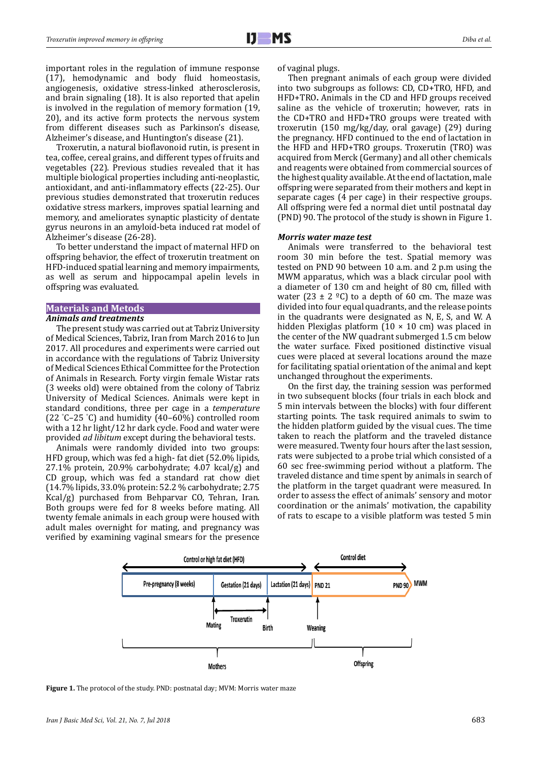important roles in the regulation of immune response (17), hemodynamic and body fluid homeostasis, angiogenesis, oxidative stress-linked atherosclerosis, and brain signaling (18). It is also reported that apelin is involved in the regulation of memory formation (19, 20), and its active form protects the nervous system from different diseases such as Parkinson's disease, Alzheimer's disease, and Huntington's disease (21).

Troxerutin, a natural bioflavonoid rutin, is present in tea, coffee, cereal grains, and different types of fruits and vegetables (22). Previous studies revealed that it has multiple biological properties including anti-neoplastic, antioxidant, and anti-inflammatory effects (22-25). Our previous studies demonstrated that troxerutin reduces oxidative stress markers, improves spatial learning and memory, and ameliorates synaptic plasticity of dentate gyrus neurons in an amyloid-beta induced rat model of Alzheimer's disease (26-28).

To better understand the impact of maternal HFD on offspring behavior, the effect of troxerutin treatment on HFD-induced spatial learning and memory impairments, as well as serum and hippocampal apelin levels in offspring was evaluated.

# **Materials and Metods**

# *Animals and treatments*

The present study was carried out at Tabriz University of Medical Sciences, Tabriz, Iran from March 2016 to Jun 2017. All procedures and experiments were carried out in accordance with the regulations of Tabriz University of Medical Sciences Ethical Committee for the Protection of Animals in Research. Forty virgin female Wistar rats (3 weeks old) were obtained from the colony of Tabriz University of Medical Sciences. Animals were kept in standard conditions, three per cage in a *temperature*  (22 ° C–25 ° C) and humidity (40–60%) controlled room with a 12 hr light/12 hr dark cycle. Food and water were provided *ad libitum* except during the behavioral tests.

Animals were randomly divided into two groups: HFD group, which was fed a high- fat diet (52.0% lipids, 27.1% protein, 20.9% carbohydrate; 4.07 kcal/g) and CD group, which was fed a standard rat chow diet (14.7% lipids, 33.0% protein: 52.2 % carbohydrate; 2.75 Kcal/g) purchased from Behparvar CO, Tehran, Iran. Both groups were fed for 8 weeks before mating. All twenty female animals in each group were housed with adult males overnight for mating, and pregnancy was verified by examining vaginal smears for the presence of vaginal plugs.

Then pregnant animals of each group were divided into two subgroups as follows: CD, CD+TRO, HFD, and HFD+TRO**.** Animals in the CD and HFD groups received saline as the vehicle of troxerutin; however, rats in the CD+TRO and HFD+TRO groups were treated with troxerutin (150 mg/kg/day, oral gavage) (29) during the pregnancy. HFD continued to the end of lactation in the HFD and HFD+TRO groups. Troxerutin (TRO) was acquired from Merck (Germany) and all other chemicals and reagents were obtained from commercial sources of the highest quality available. At the end of lactation, male offspring were separated from their mothers and kept in separate cages (4 per cage) in their respective groups. All offspring were fed a normal diet until postnatal day (PND) 90. The protocol of the study is shown in Figure 1.

#### *Morris water maze test*

Animals were transferred to the behavioral test room 30 min before the test. Spatial memory was tested on PND 90 between 10 a.m. and 2 p.m using the MWM apparatus, which was a black circular pool with a diameter of 130 cm and height of 80 cm, filled with water (23  $\pm$  2 °C) to a depth of 60 cm. The maze was divided into four equal quadrants, and the release points in the quadrants were designated as N, E, S, and W. A hidden Plexiglas platform  $(10 \times 10 \text{ cm})$  was placed in the center of the NW quadrant submerged 1.5 cm below the water surface. Fixed positioned distinctive visual cues were placed at several locations around the maze for facilitating spatial orientation of the animal and kept unchanged throughout the experiments.

On the first day, the training session was performed in two subsequent blocks (four trials in each block and 5 min intervals between the blocks) with four different starting points. The task required animals to swim to the hidden platform guided by the visual cues. The time taken to reach the platform and the traveled distance were measured. Twenty four hours after the last session, rats were subjected to a probe trial which consisted of a 60 sec free-swimming period without a platform. The traveled distance and time spent by animals in search of the platform in the target quadrant were measured. In order to assess the effect of animals' sensory and motor coordination or the animals' motivation, the capability of rats to escape to a visible platform was tested 5 min



**Figure 1.** The protocol of the study. PND: postnatal day; MVM: Morris water maze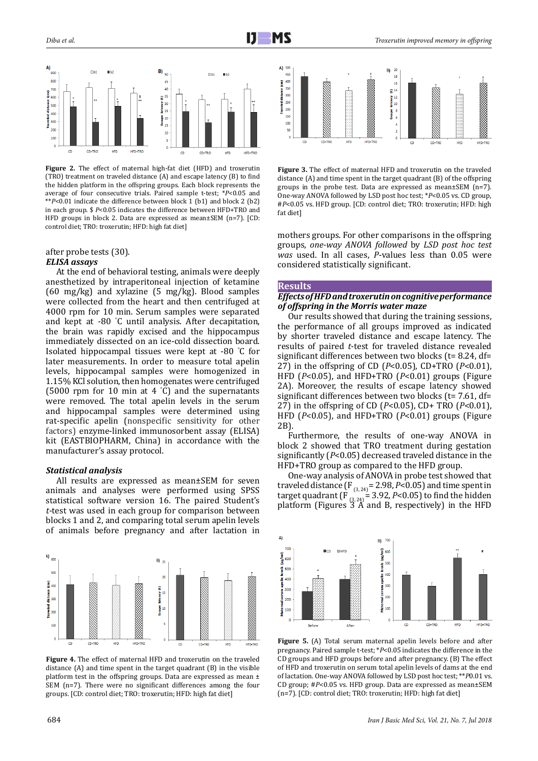

**Figure 2.** The effect of maternal high-fat diet (HFD) and troxerutin (TRO) treatment on traveled distance (A) and escape latency (B) to find the hidden platform in the offspring groups. Each block represents the average of four consecutive trials. Paired sample t-test; \**P*<0.05 and \*\**P*<0.01 indicate the difference between block 1 (b1) and block 2 (b2) in each group. \$ *P*<0.05 indicates the difference between HFD+TRO and HFD groups in block 2. Data are expressed as mean±SEM (n=7). [CD: control diet; TRO: troxerutin; HFD: high fat diet]

# after probe tests (30). *ELISA assays*

At the end of behavioral testing, animals were deeply anesthetized by intraperitoneal injection of ketamine (60 mg/kg) and xylazine (5 mg/kg). Blood samples were collected from the heart and then centrifuged at 4000 rpm for 10 min. Serum samples were separated and kept at -80 ° C until analysis. After decapitation, the brain was rapidly excised and the hippocampus immediately dissected on an ice-cold dissection board. Isolated hippocampal tissues were kept at -80 ° C for later measurements. In order to measure total apelin levels, hippocampal samples were homogenized in 1.15% KCl solution, then homogenates were centrifuged (5000 rpm for 10 min at 4 ° C) and the supernatants were removed. The total apelin levels in the serum and hippocampal samples were determined using rat-specific apelin (nonspecific sensitivity for other factors) enzyme-linked immunosorbent assay (ELISA) kit (EASTBIOPHARM, China) in accordance with the manufacturer's assay protocol.

#### *Statistical analysis*

All results are expressed as mean±SEM for seven animals and analyses were performed using SPSS statistical software version 16. The paired Student's *t*-test was used in each group for comparison between blocks 1 and 2, and comparing total serum apelin levels of animals before pregnancy and after lactation in



**Figure 4.** The effect of maternal HFD and troxerutin on the traveled distance (A) and time spent in the target quadrant (B) in the visible platform test in the offspring groups. Data are expressed as mean ± SEM (n=7). There were no significant differences among the four groups. [CD: control diet; TRO: troxerutin; HFD: high fat diet]



**Figure 3.** The effect of maternal HFD and troxerutin on the traveled distance (A) and time spent in the target quadrant (B) of the offspring groups in the probe test. Data are expressed as mean±SEM (n=7). One-way ANOVA followed by LSD post hoc test; \**P*<0.05 vs. CD group, #*P*<0.05 vs. HFD group. [CD: control diet; TRO: troxerutin; HFD: high fat diet]

mothers groups. For other comparisons in the offspring groups, *one-way ANOVA followed* by *LSD post hoc test was* used. In all cases, *P*-values less than 0.05 were considered statistically significant.

#### **Results**

## *Effects of HFD and troxerutin on cognitive performance of offspring in the Morris water maze*

Our results showed that during the training sessions, the performance of all groups improved as indicated by shorter traveled distance and escape latency. The results of paired *t*-test for traveled distance revealed significant differences between two blocks (t= 8.24, df= 27) in the offspring of CD (*P*<0.05), CD+TRO (*P*<0.01), HFD (*P*<0.05), and HFD+TRO (*P*<0.01) groups (Figure 2A). Moreover, the results of escape latency showed significant differences between two blocks (t= 7.61, df= 27) in the offspring of CD (*P*<0.05), CD+ TRO (*P*<0.01), HFD (*P*<0.05), and HFD+TRO (*P*<0.01) groups (Figure 2B).

Furthermore, the results of one-way ANOVA in block 2 showed that TRO treatment during gestation significantly (*P*<0.05) decreased traveled distance in the HFD+TRO group as compared to the HFD group.

One-way analysis of ANOVA in probe test showed that traveled distance  $(F_{(3,24)} = 2.98, P < 0.05)$  and time spent in target quadrant  $(F_{(3, 24)} = 3.92, P < 0.05)$  to find the hidden platform (Figures 3 A and B, respectively) in the HFD



**Figure 5.** (A) Total serum maternal apelin levels before and after pregnancy. Paired sample t-test; \**P*<0.05 indicates the difference in the CD groups and HFD groups before and after pregnancy. (B) The effect of HFD and troxerutin on serum total apelin levels of dams at the end of lactation. One-way ANOVA followed by LSD post hoc test; \*\**P*0.01 vs. CD group; #*P*<0.05 vs. HFD group. Data are expressed as mean±SEM (n=7). [CD: control diet; TRO: troxerutin; HFD: high fat diet]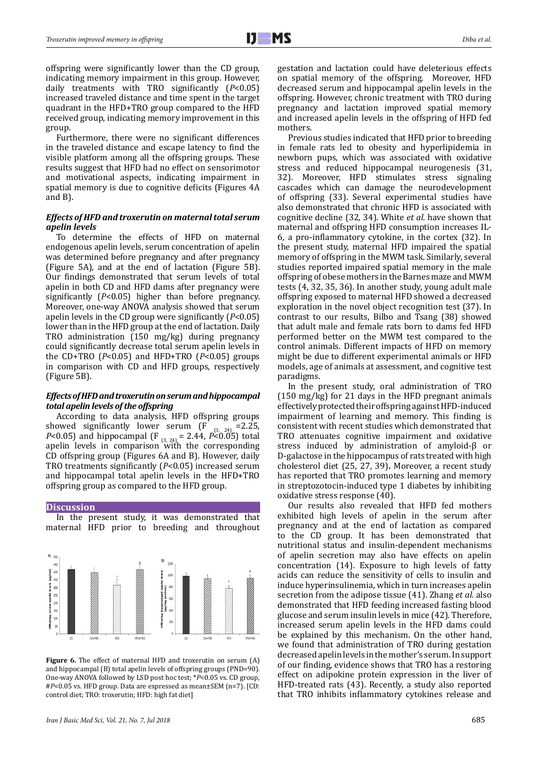offspring were significantly lower than the CD group, indicating memory impairment in this group. However, daily treatments with TRO significantly (*P*<0.05) increased traveled distance and time spent in the target quadrant in the HFD+TRO group compared to the HFD received group, indicating memory improvement in this group.

Furthermore, there were no significant differences in the traveled distance and escape latency to find the visible platform among all the offspring groups. These results suggest that HFD had no effect on sensorimotor and motivational aspects, indicating impairment in spatial memory is due to cognitive deficits (Figures 4A and B).

## *Effects of HFD and troxerutin on maternal total serum apelin levels*

To determine the effects of HFD on maternal endogenous apelin levels, serum concentration of apelin was determined before pregnancy and after pregnancy (Figure 5A), and at the end of lactation (Figure 5B). Our findings demonstrated that serum levels of total apelin in both CD and HFD dams after pregnancy were significantly (*P*<0.05) higher than before pregnancy. Moreover, one-way ANOVA analysis showed that serum apelin levels in the CD group were significantly (*P*<0.05) lower than in the HFD group at the end of lactation. Daily TRO administration (150 mg/kg) during pregnancy could significantly decrease total serum apelin levels in the CD+TRO (*P*<0.05) and HFD+TRO (*P*<0.05) groups in comparison with CD and HFD groups, respectively (Figure 5B).

## *Effects of HFD and troxerutin on serum and hippocampal total apelin levels of the offspring*

According to data analysis, HFD offspring groups<br>owed significantly lower serum ( $F_{\text{max}} = 2.25$ ) showed significantly lower serum (F *P*<0.05) and hippocampal (F  $_{(3, 24)} = 2.44$ , *P*<0.05) total apelin levels in comparison with the corresponding CD offspring group (Figures 6A and B). However, daily TRO treatments significantly (*P*<0.05) increased serum and hippocampal total apelin levels in the HFD+TRO offspring group as compared to the HFD group.

#### **Discussion**

In the present study, it was demonstrated that maternal HFD prior to breeding and throughout



**Figure 6.** The effect of maternal HFD and troxerutin on serum (A) and hippocampal (B) total apelin levels of offspring groups (PND=90). One-way ANOVA followed by LSD post hoc test; \**P*<0.05 vs. CD group, #*P*<0.05 vs. HFD group. Data are expressed as mean±SEM (n=7). [CD: control diet; TRO: troxerutin; HFD: high fat diet]

gestation and lactation could have deleterious effects on spatial memory of the offspring. Moreover, HFD decreased serum and hippocampal apelin levels in the offspring. However, chronic treatment with TRO during pregnancy and lactation improved spatial memory and increased apelin levels in the offspring of HFD fed mothers.

Previous studies indicated that HFD prior to breeding in female rats led to obesity and hyperlipidemia in newborn pups, which was associated with oxidative stress and reduced hippocampal neurogenesis (31, 32). Moreover, HFD stimulates stress signaling cascades which can damage the neurodevelopment of offspring (33). Several experimental studies have also demonstrated that chronic HFD is associated with cognitive decline (32, 34). White *et al.* have shown that maternal and offspring HFD consumption increases IL-6, a pro-inflammatory cytokine, in the cortex (32). In the present study, maternal HFD impaired the spatial memory of offspring in the MWM task. Similarly, several studies reported impaired spatial memory in the male offspring of obese mothers in the Barnes maze and MWM tests (4, 32, 35, 36). In another study, young adult male offspring exposed to maternal HFD showed a decreased exploration in the novel object recognition test (37). In contrast to our results, Bilbo and Tsang (38) showed that adult male and female rats born to dams fed HFD performed better on the MWM test compared to the control animals. Different impacts of HFD on memory might be due to different experimental animals or HFD models, age of animals at assessment, and cognitive test paradigms.

In the present study, oral administration of TRO (150 mg/kg) for 21 days in the HFD pregnant animals effectively protected their offspring against HFD-induced impairment of learning and memory. This finding is consistent with recent studies which demonstrated that TRO attenuates cognitive impairment and oxidative stress induced by administration of amyloid-β or D-galactose in the hippocampus of rats treated with high cholesterol diet (25, 27, 39)**.** Moreover, a recent study has reported that TRO promotes learning and memory in streptozotocin-induced type 1 diabetes by inhibiting oxidative stress response (40).

Our results also revealed that HFD fed mothers exhibited high levels of apelin in the serum after pregnancy and at the end of lactation as compared to the CD group. It has been demonstrated that nutritional status and insulin-dependent mechanisms of apelin secretion may also have effects on apelin concentration (14). Exposure to high levels of fatty acids can reduce the sensitivity of cells to insulin and induce hyperinsulinemia, which in turn increases apelin secretion from the adipose tissue (41). Zhang *et al.* also demonstrated that HFD feeding increased fasting blood glucose and serum insulin levels in mice (42). Therefore, increased serum apelin levels in the HFD dams could be explained by this mechanism. On the other hand, we found that administration of TRO during gestation decreased apelin levels in the mother's serum. In support of our finding, evidence shows that TRO has a restoring effect on adipokine protein expression in the liver of HFD-treated rats (43). Recently, a study also reported that TRO inhibits inflammatory cytokines release and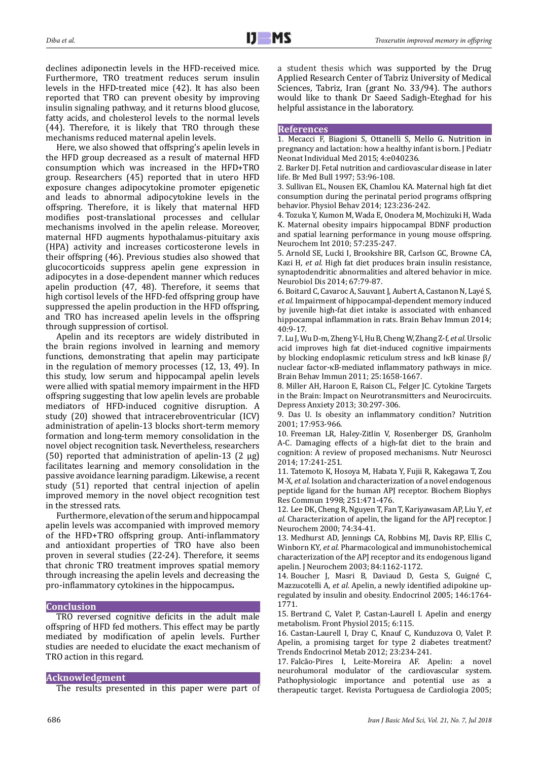declines adiponectin levels in the HFD-received mice. Furthermore, TRO treatment reduces serum insulin levels in the HFD-treated mice (42). It has also been reported that TRO can prevent obesity by improving insulin signaling pathway, and it returns blood glucose, fatty acids, and cholesterol levels to the normal levels (44). Therefore, it is likely that TRO through these mechanisms reduced maternal apelin levels.

Here, we also showed that offspring's apelin levels in the HFD group decreased as a result of maternal HFD consumption which was increased in the HFD+TRO group. Researchers (45) reported that in utero HFD exposure changes adipocytokine promoter epigenetic and leads to abnormal adipocytokine levels in the offspring. Therefore, it is likely that maternal HFD modifies post-translational processes and cellular mechanisms involved in the apelin release. Moreover, maternal HFD augments hypothalamus-pituitary axis (HPA) activity and increases corticosterone levels in their offspring (46). Previous studies also showed that glucocorticoids suppress apelin gene expression in adipocytes in a dose-dependent manner which reduces apelin production (47, 48). Therefore, it seems that high cortisol levels of the HFD-fed offspring group have suppressed the apelin production in the HFD offspring, and TRO has increased apelin levels in the offspring through suppression of cortisol.

Apelin and its receptors are widely distributed in the brain regions involved in learning and memory functions, demonstrating that apelin may participate in the regulation of memory processes (12, 13, 49). In this study, low serum and hippocampal apelin levels were allied with spatial memory impairment in the HFD offspring suggesting that low apelin levels are probable mediators of HFD-induced cognitive disruption. A study (20) showed that intracerebroventricular (ICV) administration of apelin-13 blocks short-term memory formation and long-term memory consolidation in the novel object recognition task. Nevertheless, researchers (50) reported that administration of apelin-13 (2 μg) facilitates learning and memory consolidation in the passive avoidance learning paradigm. Likewise, a recent study (51) reported that central injection of apelin improved memory in the novel object recognition test in the stressed rats.

Furthermore, elevation of the serum and hippocampal apelin levels was accompanied with improved memory of the HFD+TRO offspring group. Anti-inflammatory and antioxidant properties of TRO have also been proven in several studies (22-24). Therefore, it seems that chronic TRO treatment improves spatial memory through increasing the apelin levels and decreasing the pro-inflammatory cytokines in the hippocampus**.** 

## **Conclusion**

TRO reversed cognitive deficits in the adult male offspring of HFD fed mothers. This effect may be partly mediated by modification of apelin levels. Further studies are needed to elucidate the exact mechanism of TRO action in this regard.

## **Acknowledgment**

The results presented in this paper were part of

a student thesis which was supported by the Drug Applied Research Center of Tabriz University of Medical Sciences, Tabriz, Iran (grant No. 33/94). The authors would like to thank Dr Saeed Sadigh-Eteghad for his helpful assistance in the laboratory.

## **References**

1. Mecacci F, Biagioni S, Ottanelli S, Mello G. Nutrition in pregnancy and lactation: how a healthy infant is born. J Pediatr Neonat Individual Med 2015; 4:e040236.

2. Barker DJ. Fetal nutrition and cardiovascular disease in later life. Br Med Bull 1997; 53:96-108.

3. Sullivan EL, Nousen EK, Chamlou KA. Maternal high fat diet consumption during the perinatal period programs offspring behavior. Physiol Behav 2014; 123:236-242.

4. Tozuka Y, Kumon M, Wada E, Onodera M, Mochizuki H, Wada K. Maternal obesity impairs hippocampal BDNF production and spatial learning performance in young mouse offspring. Neurochem Int 2010; 57:235-247.

5. Arnold SE, Lucki I, Brookshire BR, Carlson GC, Browne CA, Kazi H*, et al.* High fat diet produces brain insulin resistance, synaptodendritic abnormalities and altered behavior in mice. Neurobiol Dis 2014; 67:79-87.

6. Boitard C, Cavaroc A, Sauvant J, Aubert A, Castanon N, Layé S*, et al.* Impairment of hippocampal-dependent memory induced by juvenile high-fat diet intake is associated with enhanced hippocampal inflammation in rats. Brain Behav Immun 2014; 40:9-17.

7. Lu J, Wu D-m, Zheng Y-l, Hu B, Cheng W, Zhang Z-f*, et al.* Ursolic acid improves high fat diet-induced cognitive impairments by blocking endoplasmic reticulum stress and IκB kinase β/ nuclear factor-κB-mediated inflammatory pathways in mice. Brain Behav Immun 2011; 25:1658-1667.

8. Miller AH, Haroon E, Raison CL, Felger JC. Cytokine Targets in the Brain: Impact on Neurotransmitters and Neurocircuits. Depress Anxiety 2013; 30:297-306.

9. Das U. Is obesity an inflammatory condition? Nutrition  $2001 \cdot 17.953 - 966$ 

10. Freeman LR, Haley-Zitlin V, Rosenberger DS, Granholm A-C. Damaging effects of a high-fat diet to the brain and cognition: A review of proposed mechanisms. Nutr Neurosci 2014; 17:241-251.

11. Tatemoto K, Hosoya M, Habata Y, Fujii R, Kakegawa T, Zou M-X*, et al.* Isolation and characterization of a novel endogenous peptide ligand for the human APJ receptor. Biochem Biophys Res Commun 1998; 251:471-476.

12. Lee DK, Cheng R, Nguyen T, Fan T, Kariyawasam AP, Liu Y*, et al.* Characterization of apelin, the ligand for the APJ receptor. J Neurochem 2000; 74:34-41.

13. Medhurst AD, Jennings CA, Robbins MJ, Davis RP, Ellis C, Winborn KY*, et al.* Pharmacological and immunohistochemical characterization of the APJ receptor and its endogenous ligand apelin. J Neurochem 2003; 84:1162-1172.

14. Boucher J, Masri B, Daviaud D, Gesta S, Guigné C, Mazzucotelli A*, et al.* Apelin, a newly identified adipokine upregulated by insulin and obesity. Endocrinol 2005; 146:1764- 1771.

15. Bertrand C, Valet P, Castan-Laurell I. Apelin and energy metabolism. Front Physiol 2015; 6:115.

16. Castan-Laurell I, Dray C, Knauf C, Kunduzova O, Valet P. Apelin, a promising target for type 2 diabetes treatment? Trends Endocrinol Metab 2012; 23:234-241.

17. Falcão-Pires I, Leite-Moreira AF. Apelin: a novel neurohumoral modulator of the cardiovascular system. Pathophysiologic importance and potential use as a therapeutic target. Revista Portuguesa de Cardiologia 2005;